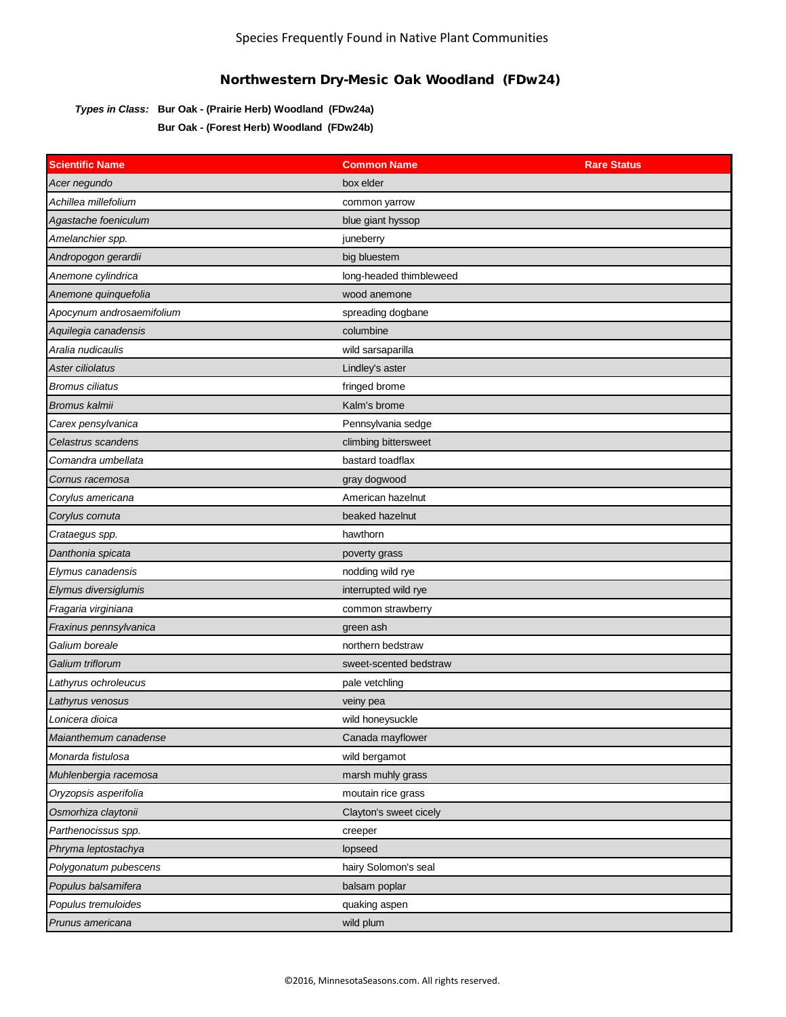## *Types in Class:* **Bur Oak - (Prairie Herb) Woodland (FDw24a) Bur Oak - (Forest Herb) Woodland (FDw24b)**

| <b>Scientific Name</b>    | <b>Common Name</b>      | <b>Rare Status</b> |
|---------------------------|-------------------------|--------------------|
| Acer negundo              | box elder               |                    |
| Achillea millefolium      | common yarrow           |                    |
| Agastache foeniculum      | blue giant hyssop       |                    |
| Amelanchier spp.          | juneberry               |                    |
| Andropogon gerardii       | big bluestem            |                    |
| Anemone cylindrica        | long-headed thimbleweed |                    |
| Anemone quinquefolia      | wood anemone            |                    |
| Apocynum androsaemifolium | spreading dogbane       |                    |
| Aquilegia canadensis      | columbine               |                    |
| Aralia nudicaulis         | wild sarsaparilla       |                    |
| Aster ciliolatus          | Lindley's aster         |                    |
| <b>Bromus ciliatus</b>    | fringed brome           |                    |
| Bromus kalmii             | Kalm's brome            |                    |
| Carex pensylvanica        | Pennsylvania sedge      |                    |
| Celastrus scandens        | climbing bittersweet    |                    |
| Comandra umbellata        | bastard toadflax        |                    |
| Cornus racemosa           | gray dogwood            |                    |
| Corylus americana         | American hazelnut       |                    |
| Corylus cornuta           | beaked hazelnut         |                    |
| Crataegus spp.            | hawthorn                |                    |
| Danthonia spicata         | poverty grass           |                    |
| Elymus canadensis         | nodding wild rye        |                    |
| Elymus diversiglumis      | interrupted wild rye    |                    |
| Fragaria virginiana       | common strawberry       |                    |
| Fraxinus pennsylvanica    | green ash               |                    |
| Galium boreale            | northern bedstraw       |                    |
| Galium triflorum          | sweet-scented bedstraw  |                    |
| Lathyrus ochroleucus      | pale vetchling          |                    |
| Lathyrus venosus          | veiny pea               |                    |
| Lonicera dioica           | wild honeysuckle        |                    |
| Maianthemum canadense     | Canada mayflower        |                    |
| Monarda fistulosa         | wild bergamot           |                    |
| Muhlenbergia racemosa     | marsh muhly grass       |                    |
| Oryzopsis asperifolia     | moutain rice grass      |                    |
| Osmorhiza claytonii       | Clayton's sweet cicely  |                    |
| Parthenocissus spp.       | creeper                 |                    |
| Phryma leptostachya       | lopseed                 |                    |
| Polygonatum pubescens     | hairy Solomon's seal    |                    |
| Populus balsamifera       | balsam poplar           |                    |
| Populus tremuloides       | quaking aspen           |                    |
| Prunus americana          | wild plum               |                    |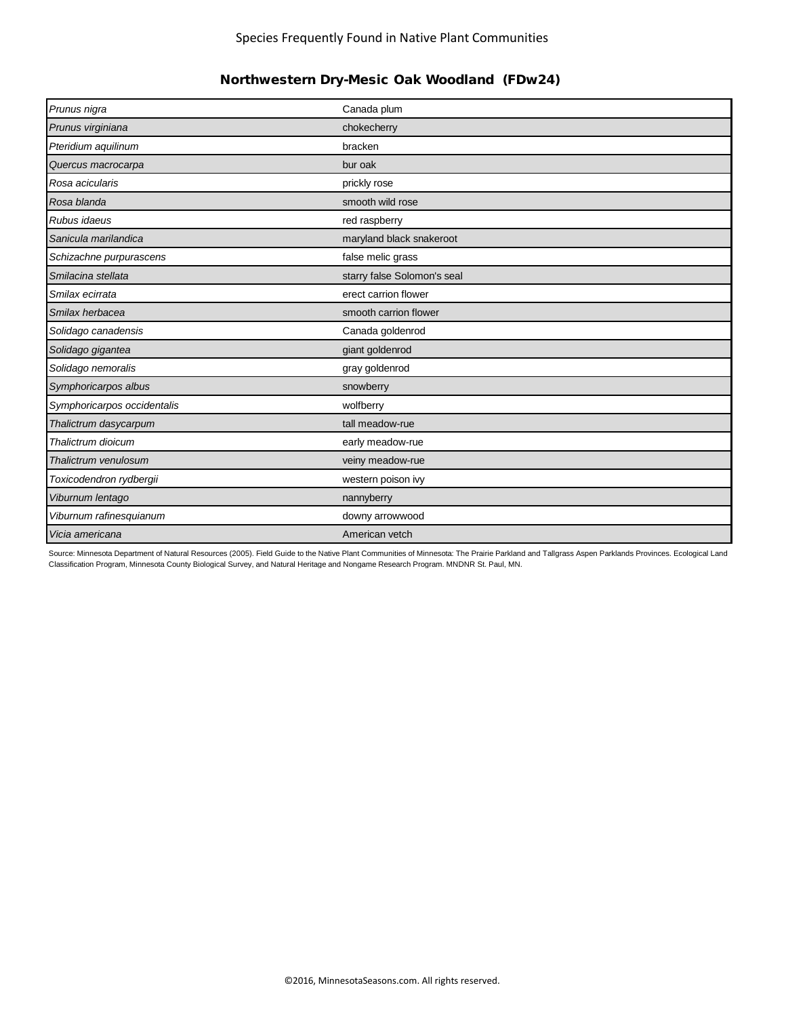| Prunus nigra                | Canada plum                 |
|-----------------------------|-----------------------------|
| Prunus virginiana           | chokecherry                 |
| Pteridium aquilinum         | bracken                     |
| Quercus macrocarpa          | bur oak                     |
| Rosa acicularis             | prickly rose                |
| Rosa blanda                 | smooth wild rose            |
| Rubus idaeus                | red raspberry               |
| Sanicula marilandica        | maryland black snakeroot    |
| Schizachne purpurascens     | false melic grass           |
| Smilacina stellata          | starry false Solomon's seal |
| Smilax ecirrata             | erect carrion flower        |
| Smilax herbacea             | smooth carrion flower       |
| Solidago canadensis         | Canada goldenrod            |
| Solidago gigantea           | giant goldenrod             |
| Solidago nemoralis          | gray goldenrod              |
| Symphoricarpos albus        | snowberry                   |
| Symphoricarpos occidentalis | wolfberry                   |
| Thalictrum dasycarpum       | tall meadow-rue             |
| Thalictrum dioicum          | early meadow-rue            |
| Thalictrum venulosum        | veiny meadow-rue            |
| Toxicodendron rydbergii     | western poison ivy          |
| Viburnum lentago            | nannyberry                  |
| Viburnum rafinesquianum     | downy arrowwood             |
| Vicia americana             | American vetch              |

Source: Minnesota Department of Natural Resources (2005). Field Guide to the Native Plant Communities of Minnesota: The Prairie Parkland and Tallgrass Aspen Parklands Provinces. Ecological Land Classification Program, Minnesota County Biological Survey, and Natural Heritage and Nongame Research Program. MNDNR St. Paul, MN.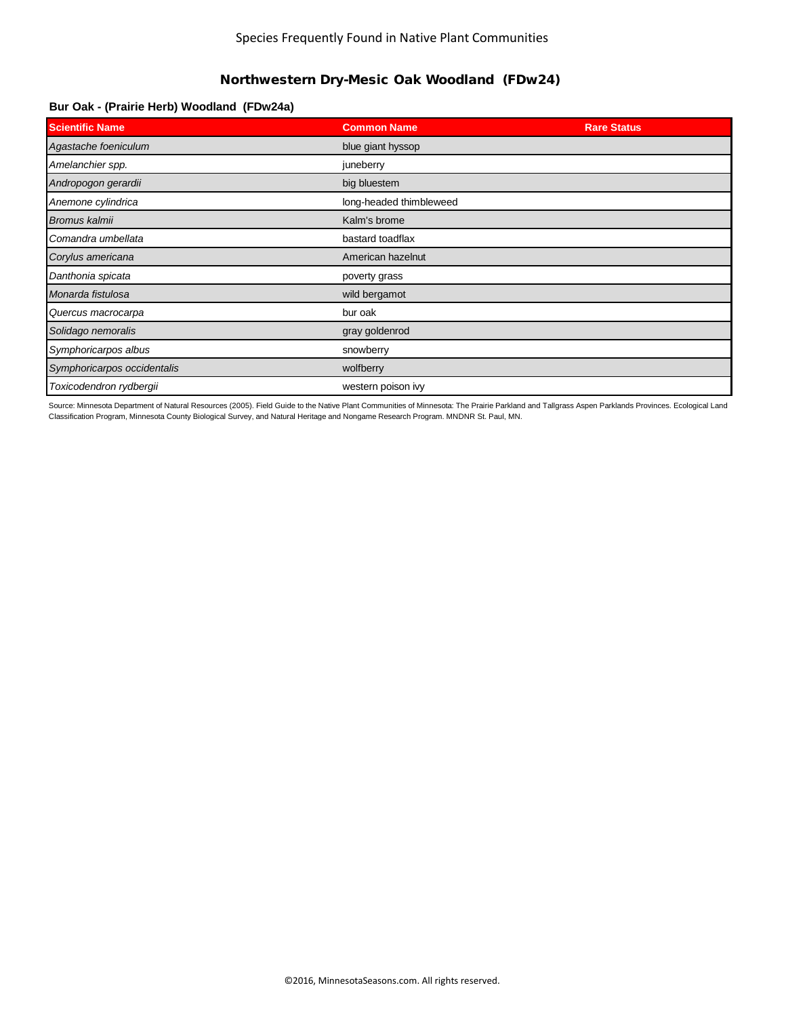### **Bur Oak - (Prairie Herb) Woodland (FDw24a)**

| <b>Scientific Name</b>      | <b>Common Name</b>      | <b>Rare Status</b> |
|-----------------------------|-------------------------|--------------------|
| Agastache foeniculum        | blue giant hyssop       |                    |
| Amelanchier spp.            | juneberry               |                    |
| Andropogon gerardii         | big bluestem            |                    |
| Anemone cylindrica          | long-headed thimbleweed |                    |
| Bromus kalmii               | Kalm's brome            |                    |
| Comandra umbellata          | bastard toadflax        |                    |
| Corylus americana           | American hazelnut       |                    |
| Danthonia spicata           | poverty grass           |                    |
| Monarda fistulosa           | wild bergamot           |                    |
| Quercus macrocarpa          | bur oak                 |                    |
| Solidago nemoralis          | gray goldenrod          |                    |
| Symphoricarpos albus        | snowberry               |                    |
| Symphoricarpos occidentalis | wolfberry               |                    |
| Toxicodendron rydbergii     | western poison ivy      |                    |

Source: Minnesota Department of Natural Resources (2005). Field Guide to the Native Plant Communities of Minnesota: The Prairie Parkland and Tallgrass Aspen Parklands Provinces. Ecological Land Classification Program, Minnesota County Biological Survey, and Natural Heritage and Nongame Research Program. MNDNR St. Paul, MN.